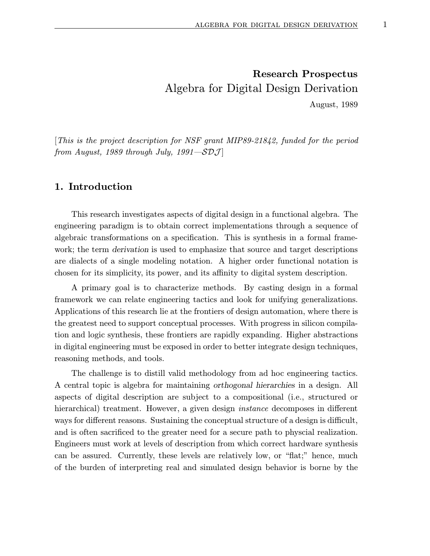[This is the project description for NSF grant MIP89-21842, funded for the period from August, 1989 through July, 1991—SDJ

## 1. Introduction

This research investigates aspects of digital design in a functional algebra. The engineering paradigm is to obtain correct implementations through a sequence of algebraic transformations on a specification. This is synthesis in a formal framework; the term derivation is used to emphasize that source and target descriptions are dialects of a single modeling notation. A higher order functional notation is chosen for its simplicity, its power, and its affinity to digital system description.

A primary goal is to characterize methods. By casting design in a formal framework we can relate engineering tactics and look for unifying generalizations. Applications of this research lie at the frontiers of design automation, where there is the greatest need to support conceptual processes. With progress in silicon compilation and logic synthesis, these frontiers are rapidly expanding. Higher abstractions in digital engineering must be exposed in order to better integrate design techniques, reasoning methods, and tools.

The challenge is to distill valid methodology from ad hoc engineering tactics. A central topic is algebra for maintaining orthogonal hierarchies in a design. All aspects of digital description are subject to a compositional (i.e., structured or hierarchical) treatment. However, a given design *instance* decomposes in different ways for different reasons. Sustaining the conceptual structure of a design is difficult, and is often sacrificed to the greater need for a secure path to physcial realization. Engineers must work at levels of description from which correct hardware synthesis can be assured. Currently, these levels are relatively low, or "flat;" hence, much of the burden of interpreting real and simulated design behavior is borne by the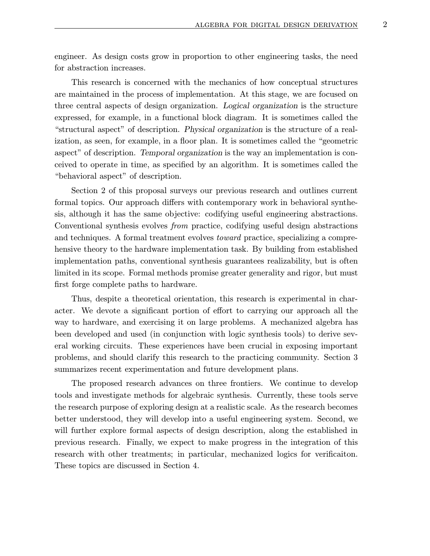engineer. As design costs grow in proportion to other engineering tasks, the need for abstraction increases.

This research is concerned with the mechanics of how conceptual structures are maintained in the process of implementation. At this stage, we are focused on three central aspects of design organization. Logical organization is the structure expressed, for example, in a functional block diagram. It is sometimes called the "structural aspect" of description. Physical organization is the structure of a realization, as seen, for example, in a floor plan. It is sometimes called the "geometric aspect" of description. Temporal organization is the way an implementation is conceived to operate in time, as specified by an algorithm. It is sometimes called the "behavioral aspect" of description.

Section 2 of this proposal surveys our previous research and outlines current formal topics. Our approach differs with contemporary work in behavioral synthesis, although it has the same objective: codifying useful engineering abstractions. Conventional synthesis evolves from practice, codifying useful design abstractions and techniques. A formal treatment evolves toward practice, specializing a comprehensive theory to the hardware implementation task. By building from established implementation paths, conventional synthesis guarantees realizability, but is often limited in its scope. Formal methods promise greater generality and rigor, but must first forge complete paths to hardware.

Thus, despite a theoretical orientation, this research is experimental in character. We devote a significant portion of effort to carrying our approach all the way to hardware, and exercising it on large problems. A mechanized algebra has been developed and used (in conjunction with logic synthesis tools) to derive several working circuits. These experiences have been crucial in exposing important problems, and should clarify this research to the practicing community. Section 3 summarizes recent experimentation and future development plans.

The proposed research advances on three frontiers. We continue to develop tools and investigate methods for algebraic synthesis. Currently, these tools serve the research purpose of exploring design at a realistic scale. As the research becomes better understood, they will develop into a useful engineering system. Second, we will further explore formal aspects of design description, along the established in previous research. Finally, we expect to make progress in the integration of this research with other treatments; in particular, mechanized logics for verificaiton. These topics are discussed in Section 4.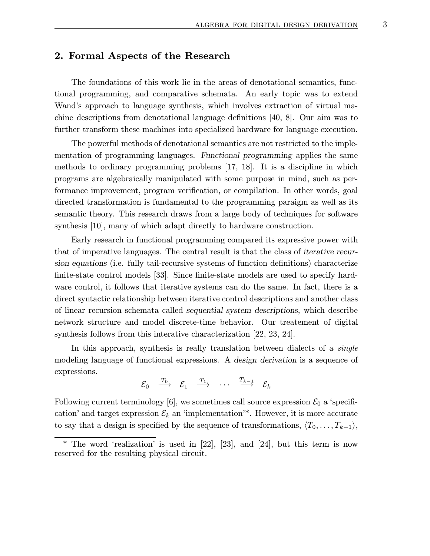# 2. Formal Aspects of the Research

The foundations of this work lie in the areas of denotational semantics, functional programming, and comparative schemata. An early topic was to extend Wand's approach to language synthesis, which involves extraction of virtual machine descriptions from denotational language definitions [40, 8]. Our aim was to further transform these machines into specialized hardware for language execution.

The powerful methods of denotational semantics are not restricted to the implementation of programming languages. Functional programming applies the same methods to ordinary programming problems [17, 18]. It is a discipline in which programs are algebraically manipulated with some purpose in mind, such as performance improvement, program verification, or compilation. In other words, goal directed transformation is fundamental to the programming paraigm as well as its semantic theory. This research draws from a large body of techniques for software synthesis [10], many of which adapt directly to hardware construction.

Early research in functional programming compared its expressive power with that of imperative languages. The central result is that the class of iterative recursion equations (i.e. fully tail-recursive systems of function definitions) characterize finite-state control models [33]. Since finite-state models are used to specify hardware control, it follows that iterative systems can do the same. In fact, there is a direct syntactic relationship between iterative control descriptions and another class of linear recursion schemata called sequential system descriptions, which describe network structure and model discrete-time behavior. Our treatement of digital synthesis follows from this interative characterization [22, 23, 24].

In this approach, synthesis is really translation between dialects of a *single* modeling language of functional expressions. A design derivation is a sequence of expressions.

$$
\mathcal{E}_0 \quad \xrightarrow{T_0} \quad \mathcal{E}_1 \quad \xrightarrow{T_1} \quad \cdots \quad \xrightarrow{T_{k-1}} \quad \mathcal{E}_k
$$

Following current terminology [6], we sometimes call source expression  $\mathcal{E}_0$  a 'specification' and target expression  $\mathcal{E}_k$  an 'implementation'\*. However, it is more accurate to say that a design is specified by the sequence of transformations,  $\langle T_0, \ldots, T_{k-1} \rangle$ ,

<sup>\*</sup> The word 'realization' is used in [22], [23], and [24], but this term is now reserved for the resulting physical circuit.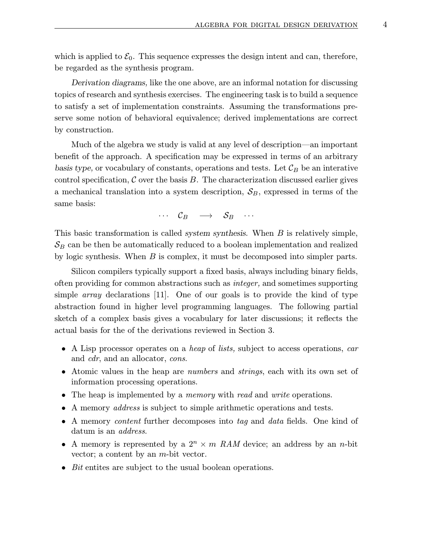which is applied to  $\mathcal{E}_0$ . This sequence expresses the design intent and can, therefore, be regarded as the synthesis program.

Derivation diagrams, like the one above, are an informal notation for discussing topics of research and synthesis exercises. The engineering task is to build a sequence to satisfy a set of implementation constraints. Assuming the transformations preserve some notion of behavioral equivalence; derived implementations are correct by construction.

Much of the algebra we study is valid at any level of description—an important benefit of the approach. A specification may be expressed in terms of an arbitrary basis type, or vocabulary of constants, operations and tests. Let  $\mathcal{C}_B$  be an interative control specification,  $\mathcal C$  over the basis  $B$ . The characterization discussed earlier gives a mechanical translation into a system description,  $S_B$ , expressed in terms of the same basis:

 $\cdots$   $\mathcal{C}_B$   $\longrightarrow$   $\mathcal{S}_B$   $\cdots$ 

This basic transformation is called *system synthesis*. When B is relatively simple,  $\mathcal{S}_B$  can be then be automatically reduced to a boolean implementation and realized by logic synthesis. When B is complex, it must be decomposed into simpler parts.

Silicon compilers typically support a fixed basis, always including binary fields, often providing for common abstractions such as integer, and sometimes supporting simple *array* declarations [11]. One of our goals is to provide the kind of type abstraction found in higher level programming languages. The following partial sketch of a complex basis gives a vocabulary for later discussions; it reflects the actual basis for the of the derivations reviewed in Section 3.

- A Lisp processor operates on a *heap* of *lists*, subject to access operations, *car* and cdr, and an allocator, cons.
- Atomic values in the heap are numbers and strings, each with its own set of information processing operations.
- The heap is implemented by a *memory* with *read* and *write* operations.
- A memory *address* is subject to simple arithmetic operations and tests.
- A memory *content* further decomposes into tag and data fields. One kind of datum is an *address*.
- A memory is represented by a  $2^n \times m$  RAM device; an address by an n-bit vector; a content by an m-bit vector.
- Bit entites are subject to the usual boolean operations.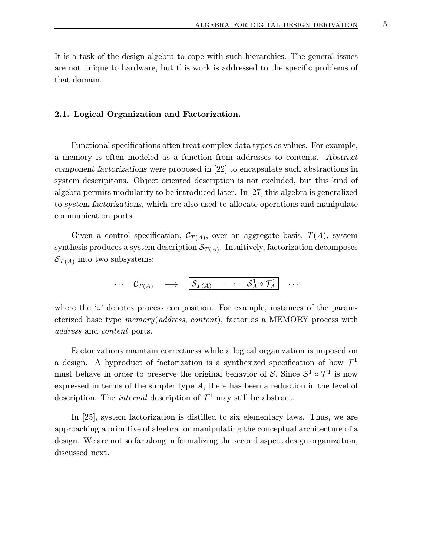It is a task of the design algebra to cope with such hierarchies. The general issues are not unique to hardware, but this work is addressed to the specific problems of that domain.

#### 2.1. Logical Organization and Factorization.

Functional specifications often treat complex data types as values. For example, a memory is often modeled as a function from addresses to contents. Abstract component factorizations were proposed in [22] to encapsulate such abstractions in system descripitons. Object oriented description is not excluded, but this kind of algebra permits modularity to be introduced later. In [27] this algebra is generalized to system factorizations, which are also used to allocate operations and manipulate communication ports.

Given a control specification,  $\mathcal{C}_{T(A)}$ , over an aggregate basis,  $T(A)$ , system synthesis produces a system description  $\mathcal{S}_{T(A)}$ . Intuitively, factorization decomposes  $\mathcal{S}_{T(A)}$  into two subsystems:

$$
\cdots \quad \mathcal{C}_{T(A)} \quad \longrightarrow \quad \boxed{\mathcal{S}_{T(A)} \quad \longrightarrow \quad \mathcal{S}^1_A \circ \mathcal{T}^1_A} \quad \cdots
$$

where the '∘' denotes process composition. For example, instances of the parameterized base type  $memory(address, content)$ , factor as a MEMORY process with address and content ports.

Factorizations maintain correctness while a logical organization is imposed on a design. A byproduct of factorization is a synthesized specification of how  $\mathcal{T}^1$ must behave in order to preserve the original behavior of S. Since  $S^1 \circ \mathcal{T}^1$  is now expressed in terms of the simpler type A, there has been a reduction in the level of description. The *internal* description of  $\mathcal{T}^1$  may still be abstract.

In [25], system factorization is distilled to six elementary laws. Thus, we are approaching a primitive of algebra for manipulating the conceptual architecture of a design. We are not so far along in formalizing the second aspect design organization, discussed next.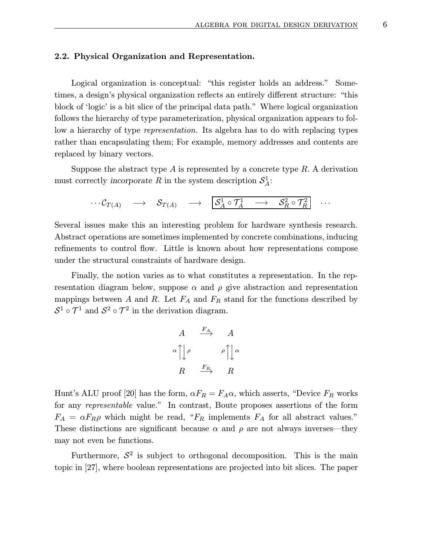#### 2.2. Physical Organization and Representation.

Logical organization is conceptual: "this register holds an address." Sometimes, a design's physical organization reflects an entirely different structure: "this block of 'logic' is a bit slice of the principal data path." Where logical organization follows the hierarchy of type parameterization, physical organization appears to follow a hierarchy of type representation. Its algebra has to do with replacing types rather than encapsulating them; For example, memory addresses and contents are replaced by binary vectors.

Suppose the abstract type  $A$  is represented by a concrete type  $R$ . A derivation must correctly incorporate R in the system description  $S^1_A$ :

$$
\cdots \mathcal{C}_{T(A)} \quad \longrightarrow \quad \mathcal{S}_{T(A)} \quad \longrightarrow \quad \boxed{\mathcal{S}^1_A \circ \mathcal{T}^1_A \quad \longrightarrow \quad \mathcal{S}^2_R \circ \mathcal{T}^2_R} \quad \cdots
$$

Several issues make this an interesting problem for hardware synthesis research. Abstract operations are sometimes implemented by concrete combinations, inducing refinements to control flow. Little is known about how representations compose under the structural constraints of hardware design.

Finally, the notion varies as to what constitutes a representation. In the representation diagram below, suppose  $\alpha$  and  $\rho$  give abstraction and representation mappings between A and R. Let  $F_A$  and  $F_R$  stand for the functions described by  $S^1 \circ \mathcal{T}^1$  and  $S^2 \circ \mathcal{T}^2$  in the derivation diagram.

$$
\begin{array}{ccc}\nA & \stackrel{F_A}{\longrightarrow} & A \\
\alpha \uparrow \downarrow \rho & & \rho \uparrow \downarrow \alpha \\
R & \stackrel{F_R}{\longrightarrow} & R\n\end{array}
$$

Hunt's ALU proof [20] has the form,  $\alpha F_R = F_A \alpha$ , which asserts, "Device  $F_R$  works for any representable value." In contrast, Boute proposes assertions of the form  $F_A = \alpha F_R \rho$  which might be read, " $F_R$  implements  $F_A$  for all abstract values." These distinctions are significant because  $\alpha$  and  $\rho$  are not always inverses—they may not even be functions.

Furthermore,  $S^2$  is subject to orthogonal decomposition. This is the main topic in [27], where boolean representations are projected into bit slices. The paper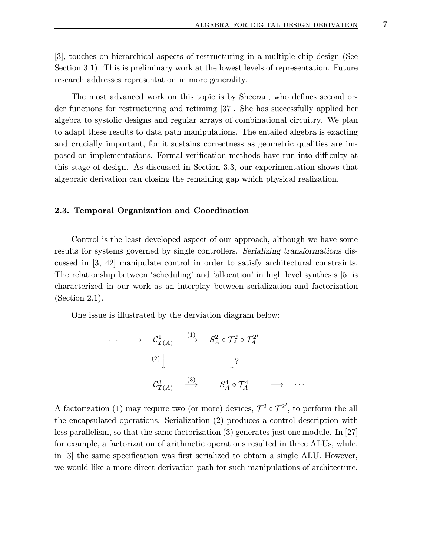[3], touches on hierarchical aspects of restructuring in a multiple chip design (See Section 3.1). This is preliminary work at the lowest levels of representation. Future research addresses representation in more generality.

The most advanced work on this topic is by Sheeran, who defines second order functions for restructuring and retiming [37]. She has successfully applied her algebra to systolic designs and regular arrays of combinational circuitry. We plan to adapt these results to data path manipulations. The entailed algebra is exacting and crucially important, for it sustains correctness as geometric qualities are imposed on implementations. Formal verification methods have run into difficulty at this stage of design. As discussed in Section 3.3, our experimentation shows that algebraic derivation can closing the remaining gap which physical realization.

#### 2.3. Temporal Organization and Coordination

Control is the least developed aspect of our approach, although we have some results for systems governed by single controllers. Serializing transformations discussed in [3, 42] manipulate control in order to satisfy architectural constraints. The relationship between 'scheduling' and 'allocation' in high level synthesis [5] is characterized in our work as an interplay between serialization and factorization (Section 2.1).

One issue is illustrated by the derviation diagram below:

$$
\cdots \longrightarrow C_{T(A)}^{1} \xrightarrow{(1)} S_A^2 \circ \mathcal{T}_A^2 \circ \mathcal{T}_A^{2'}
$$
\n
$$
\downarrow ?
$$
\n
$$
C_{T(A)}^3 \xrightarrow{(3)} S_A^4 \circ \mathcal{T}_A^4 \longrightarrow \cdots
$$

A factorization (1) may require two (or more) devices,  $\mathcal{T}^2 \circ \mathcal{T}^{2'}$ , to perform the all the encapsulated operations. Serialization (2) produces a control description with less parallelism, so that the same factorization (3) generates just one module. In [27] for example, a factorization of arithmetic operations resulted in three ALUs, while. in [3] the same specification was first serialized to obtain a single ALU. However, we would like a more direct derivation path for such manipulations of architecture.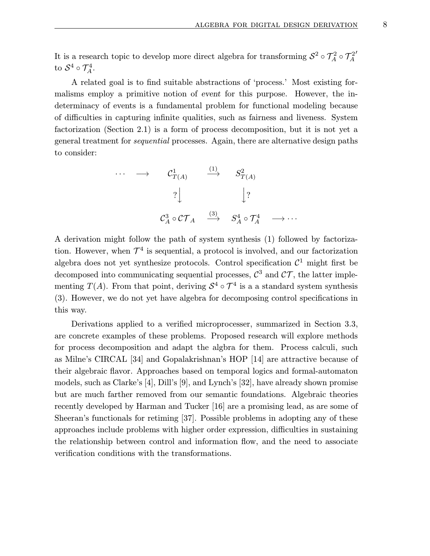It is a research topic to develop more direct algebra for transforming  $S^2 \circ \mathcal{T}_A^2 \circ \mathcal{T}_A^2$  $\prime$ to  $S^4 \circ \mathcal{T}_A^4$ .

A related goal is to find suitable abstractions of 'process.' Most existing formalisms employ a primitive notion of event for this purpose. However, the indeterminacy of events is a fundamental problem for functional modeling because of difficulties in capturing infinite qualities, such as fairness and liveness. System factorization (Section 2.1) is a form of process decomposition, but it is not yet a general treatment for sequential processes. Again, there are alternative design paths to consider:

· · · −→ C<sup>1</sup> T(A) (1) −→ S<sup>2</sup> T(A) ? y y? C3 <sup>A</sup> ◦ CT <sup>A</sup> (3) −→ S<sup>4</sup> <sup>A</sup> ◦ T <sup>4</sup> <sup>A</sup> −→ · · ·

A derivation might follow the path of system synthesis (1) followed by factorization. However, when  $\mathcal{T}^4$  is sequential, a protocol is involved, and our factorization algebra does not yet synthesize protocols. Control specification  $\mathcal{C}^1$  might first be decomposed into communicating sequential processes,  $\mathcal{C}^3$  and  $\mathcal{CT}$ , the latter implementing  $T(A)$ . From that point, deriving  $S^4 \circ \mathcal{T}^4$  is a a standard system synthesis (3). However, we do not yet have algebra for decomposing control specifications in this way.

Derivations applied to a verified microprocesser, summarized in Section 3.3, are concrete examples of these problems. Proposed research will explore methods for process decomposition and adapt the algbra for them. Process calculi, such as Milne's CIRCAL [34] and Gopalakrishnan's HOP [14] are attractive because of their algebraic flavor. Approaches based on temporal logics and formal-automaton models, such as Clarke's [4], Dill's [9], and Lynch's [32], have already shown promise but are much farther removed from our semantic foundations. Algebraic theories recently developed by Harman and Tucker [16] are a promising lead, as are some of Sheeran's functionals for retiming [37]. Possible problems in adopting any of these approaches include problems with higher order expression, difficulties in sustaining the relationship between control and information flow, and the need to associate verification conditions with the transformations.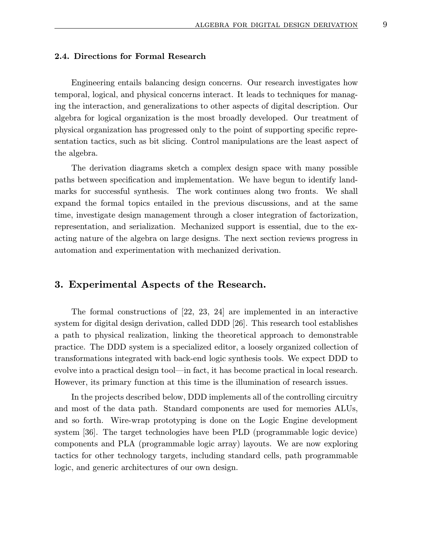### 2.4. Directions for Formal Research

Engineering entails balancing design concerns. Our research investigates how temporal, logical, and physical concerns interact. It leads to techniques for managing the interaction, and generalizations to other aspects of digital description. Our algebra for logical organization is the most broadly developed. Our treatment of physical organization has progressed only to the point of supporting specific representation tactics, such as bit slicing. Control manipulations are the least aspect of the algebra.

The derivation diagrams sketch a complex design space with many possible paths between specification and implementation. We have begun to identify landmarks for successful synthesis. The work continues along two fronts. We shall expand the formal topics entailed in the previous discussions, and at the same time, investigate design management through a closer integration of factorization, representation, and serialization. Mechanized support is essential, due to the exacting nature of the algebra on large designs. The next section reviews progress in automation and experimentation with mechanized derivation.

# 3. Experimental Aspects of the Research.

The formal constructions of [22, 23, 24] are implemented in an interactive system for digital design derivation, called DDD [26]. This research tool establishes a path to physical realization, linking the theoretical approach to demonstrable practice. The DDD system is a specialized editor, a loosely organized collection of transformations integrated with back-end logic synthesis tools. We expect DDD to evolve into a practical design tool—in fact, it has become practical in local research. However, its primary function at this time is the illumination of research issues.

In the projects described below, DDD implements all of the controlling circuitry and most of the data path. Standard components are used for memories ALUs, and so forth. Wire-wrap prototyping is done on the Logic Engine development system [36]. The target technologies have been PLD (programmable logic device) components and PLA (programmable logic array) layouts. We are now exploring tactics for other technology targets, including standard cells, path programmable logic, and generic architectures of our own design.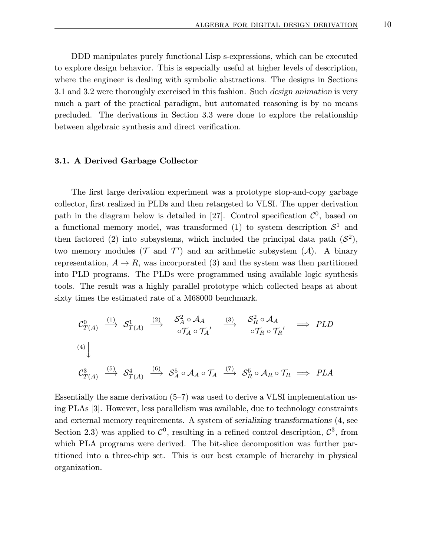DDD manipulates purely functional Lisp s-expressions, which can be executed to explore design behavior. This is especially useful at higher levels of description, where the engineer is dealing with symbolic abstractions. The designs in Sections 3.1 and 3.2 were thoroughly exercised in this fashion. Such design animation is very much a part of the practical paradigm, but automated reasoning is by no means precluded. The derivations in Section 3.3 were done to explore the relationship between algebraic synthesis and direct verification.

#### 3.1. A Derived Garbage Collector

The first large derivation experiment was a prototype stop-and-copy garbage collector, first realized in PLDs and then retargeted to VLSI. The upper derivation path in the diagram below is detailed in [27]. Control specification  $\mathcal{C}^0$ , based on a functional memory model, was transformed (1) to system description  $S<sup>1</sup>$  and then factored (2) into subsystems, which included the principal data path  $(S^2)$ , two memory modules ( $\mathcal T$  and  $\mathcal T'$ ) and an arithmetic subsystem ( $\mathcal A$ ). A binary representation,  $A \to R$ , was incorporated (3) and the system was then partitioned into PLD programs. The PLDs were programmed using available logic synthesis tools. The result was a highly parallel prototype which collected heaps at about sixty times the estimated rate of a M68000 benchmark.

$$
\begin{array}{ccccccccc}\n\mathcal{C}_{T(A)}^{0} & \xrightarrow{(1)} & \mathcal{S}_{T(A)}^{1} & \xrightarrow{(2)} & \mathcal{S}_{A}^{2} \circ \mathcal{A}_{A} & & \xrightarrow{(3)} & \mathcal{S}_{R}^{2} \circ \mathcal{A}_{A} \\
 & & & & \circ \mathcal{T}_{A} \circ \mathcal{T}_{A}' & & \xrightarrow{\sim} & \circ \mathcal{T}_{R} \circ \mathcal{T}_{R}' & \xrightarrow{\longrightarrow} & PLD \\
\end{array}
$$
\n
$$
\begin{array}{ccccccccc}\n\mathcal{C}_{T(A)}^{3} & \xrightarrow{(5)} & \mathcal{S}_{T(A)}^{4} & \xrightarrow{(6)} & \mathcal{S}_{A}^{5} \circ \mathcal{A}_{A} \circ \mathcal{T}_{A} & & \xrightarrow{(7)} & \mathcal{S}_{R}^{5} \circ \mathcal{A}_{R} \circ \mathcal{T}_{R} & \xrightarrow{\longrightarrow} & PLA\n\end{array}
$$

Essentially the same derivation  $(5-7)$  was used to derive a VLSI implementation using PLAs [3]. However, less parallelism was available, due to technology constraints and external memory requirements. A system of serializing transformations (4, see Section 2.3) was applied to  $\mathcal{C}^0$ , resulting in a refined control description,  $\mathcal{C}^3$ , from which PLA programs were derived. The bit-slice decomposition was further partitioned into a three-chip set. This is our best example of hierarchy in physical organization.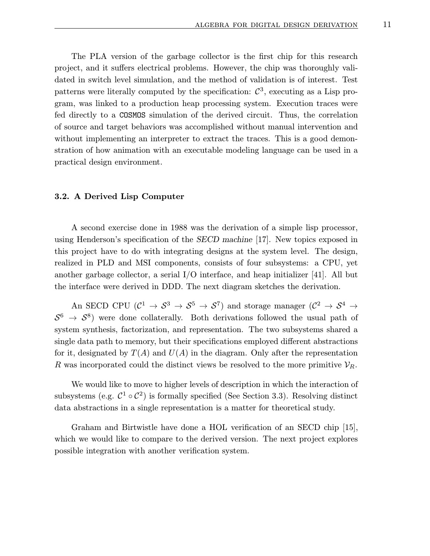The PLA version of the garbage collector is the first chip for this research project, and it suffers electrical problems. However, the chip was thoroughly validated in switch level simulation, and the method of validation is of interest. Test patterns were literally computed by the specification:  $\mathcal{C}^3$ , executing as a Lisp program, was linked to a production heap processing system. Execution traces were fed directly to a COSMOS simulation of the derived circuit. Thus, the correlation of source and target behaviors was accomplished without manual intervention and without implementing an interpreter to extract the traces. This is a good demonstration of how animation with an executable modeling language can be used in a practical design environment.

#### 3.2. A Derived Lisp Computer

A second exercise done in 1988 was the derivation of a simple lisp processor, using Henderson's specification of the SECD machine [17]. New topics exposed in this project have to do with integrating designs at the system level. The design, realized in PLD and MSI components, consists of four subsystems: a CPU, yet another garbage collector, a serial I/O interface, and heap initializer [41]. All but the interface were derived in DDD. The next diagram sketches the derivation.

An SECD CPU  $(\mathcal{C}^1 \to \mathcal{S}^3 \to \mathcal{S}^5 \to \mathcal{S}^7)$  and storage manager  $(\mathcal{C}^2 \to \mathcal{S}^4 \to \mathcal{S}^4 \to \mathcal{S}^4)$  $S^6 \rightarrow S^8$ ) were done collaterally. Both derivations followed the usual path of system synthesis, factorization, and representation. The two subsystems shared a single data path to memory, but their specifications employed different abstractions for it, designated by  $T(A)$  and  $U(A)$  in the diagram. Only after the representation R was incorporated could the distinct views be resolved to the more primitive  $\mathcal{V}_R$ .

We would like to move to higher levels of description in which the interaction of subsystems (e.g.  $\mathcal{C}^1 \circ \mathcal{C}^2$ ) is formally specified (See Section 3.3). Resolving distinct data abstractions in a single representation is a matter for theoretical study.

Graham and Birtwistle have done a HOL verification of an SECD chip [15], which we would like to compare to the derived version. The next project explores possible integration with another verification system.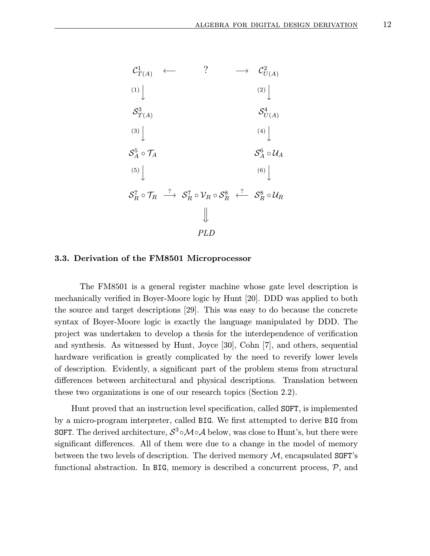

### 3.3. Derivation of the FM8501 Microprocessor

The FM8501 is a general register machine whose gate level description is mechanically verified in Boyer-Moore logic by Hunt [20]. DDD was applied to both the source and target descriptions [29]. This was easy to do because the concrete syntax of Boyer-Moore logic is exactly the language manipulated by DDD. The project was undertaken to develop a thesis for the interdependence of verification and synthesis. As witnessed by Hunt, Joyce [30], Cohn [7], and others, sequential hardware verification is greatly complicated by the need to reverify lower levels of description. Evidently, a significant part of the problem stems from structural differences between architectural and physical descriptions. Translation between these two organizations is one of our research topics (Section 2.2).

Hunt proved that an instruction level specification, called SOFT, is implemented by a micro-program interpreter, called BIG. We first attempted to derive BIG from SOFT. The derived architecture,  $S^3 \circ \mathcal{M} \circ \mathcal{A}$  below, was close to Hunt's, but there were significant differences. All of them were due to a change in the model of memory between the two levels of description. The derived memory  $M$ , encapsulated SOFT's functional abstraction. In BIG, memory is described a concurrent process,  $P$ , and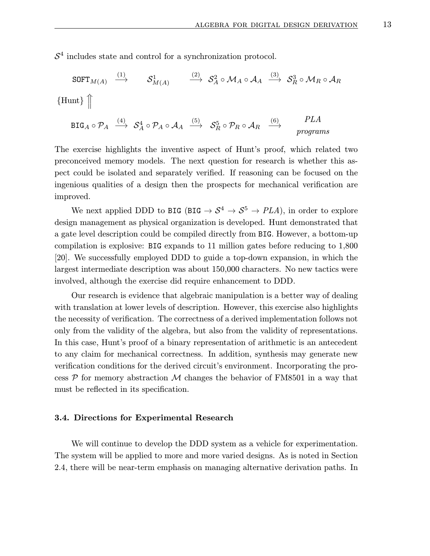$S<sup>4</sup>$  includes state and control for a synchronization protocol.

$$
\begin{array}{ccc}\n\text{SOFT}_{M(A)} & \xrightarrow{(1)} & \mathcal{S}_{M(A)}^1 & \xrightarrow{(2)} & \mathcal{S}_A^2 \circ \mathcal{M}_A \circ \mathcal{A}_A & \xrightarrow{(3)} & \mathcal{S}_R^3 \circ \mathcal{M}_R \circ \mathcal{A}_R \\
\text{Hunt}\n\end{array}
$$
\n
$$
\begin{array}{ccc}\n\text{BIG}_A \circ \mathcal{P}_A & \xrightarrow{(4)} & \mathcal{S}_A^4 \circ \mathcal{P}_A \circ \mathcal{A}_A & \xrightarrow{(5)} & \mathcal{S}_R^5 \circ \mathcal{P}_R \circ \mathcal{A}_R & \xrightarrow{(6)} & \text{PLA} \\
\text{programs}\n\end{array}
$$

The exercise highlights the inventive aspect of Hunt's proof, which related two preconceived memory models. The next question for research is whether this aspect could be isolated and separately verified. If reasoning can be focused on the ingenious qualities of a design then the prospects for mechanical verification are improved.

We next applied DDD to BIG (BIG  $\rightarrow S^4 \rightarrow S^5 \rightarrow PLA$ ), in order to explore design management as physical organization is developed. Hunt demonstrated that a gate level description could be compiled directly from BIG. However, a bottom-up compilation is explosive: BIG expands to 11 million gates before reducing to 1,800 [20]. We successfully employed DDD to guide a top-down expansion, in which the largest intermediate description was about 150,000 characters. No new tactics were involved, although the exercise did require enhancement to DDD.

Our research is evidence that algebraic manipulation is a better way of dealing with translation at lower levels of description. However, this exercise also highlights the necessity of verification. The correctness of a derived implementation follows not only from the validity of the algebra, but also from the validity of representations. In this case, Hunt's proof of a binary representation of arithmetic is an antecedent to any claim for mechanical correctness. In addition, synthesis may generate new verification conditions for the derived circuit's environment. Incorporating the process  $\mathcal P$  for memory abstraction  $\mathcal M$  changes the behavior of FM8501 in a way that must be reflected in its specification.

#### 3.4. Directions for Experimental Research

We will continue to develop the DDD system as a vehicle for experimentation. The system will be applied to more and more varied designs. As is noted in Section 2.4, there will be near-term emphasis on managing alternative derivation paths. In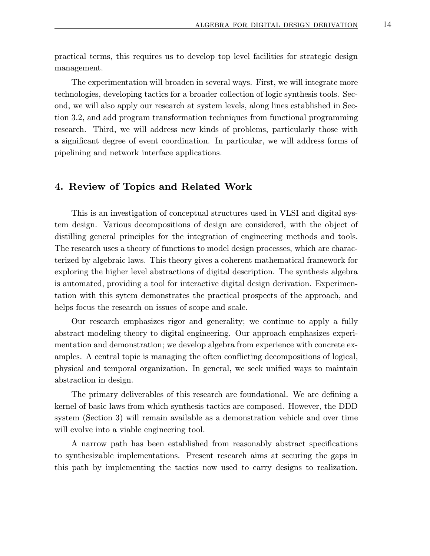practical terms, this requires us to develop top level facilities for strategic design management.

The experimentation will broaden in several ways. First, we will integrate more technologies, developing tactics for a broader collection of logic synthesis tools. Second, we will also apply our research at system levels, along lines established in Section 3.2, and add program transformation techniques from functional programming research. Third, we will address new kinds of problems, particularly those with a significant degree of event coordination. In particular, we will address forms of pipelining and network interface applications.

# 4. Review of Topics and Related Work

This is an investigation of conceptual structures used in VLSI and digital system design. Various decompositions of design are considered, with the object of distilling general principles for the integration of engineering methods and tools. The research uses a theory of functions to model design processes, which are characterized by algebraic laws. This theory gives a coherent mathematical framework for exploring the higher level abstractions of digital description. The synthesis algebra is automated, providing a tool for interactive digital design derivation. Experimentation with this sytem demonstrates the practical prospects of the approach, and helps focus the research on issues of scope and scale.

Our research emphasizes rigor and generality; we continue to apply a fully abstract modeling theory to digital engineering. Our approach emphasizes experimentation and demonstration; we develop algebra from experience with concrete examples. A central topic is managing the often conflicting decompositions of logical, physical and temporal organization. In general, we seek unified ways to maintain abstraction in design.

The primary deliverables of this research are foundational. We are defining a kernel of basic laws from which synthesis tactics are composed. However, the DDD system (Section 3) will remain available as a demonstration vehicle and over time will evolve into a viable engineering tool.

A narrow path has been established from reasonably abstract specifications to synthesizable implementations. Present research aims at securing the gaps in this path by implementing the tactics now used to carry designs to realization.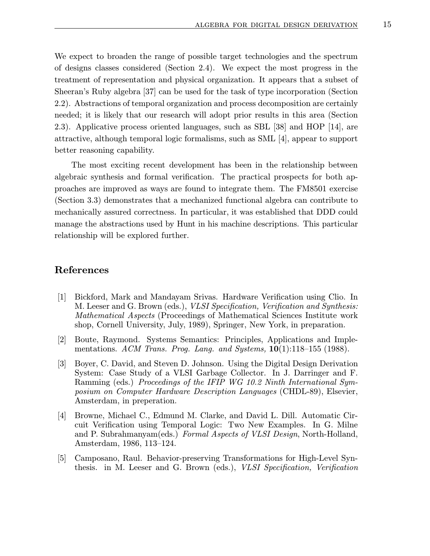We expect to broaden the range of possible target technologies and the spectrum of designs classes considered (Section 2.4). We expect the most progress in the treatment of representation and physical organization. It appears that a subset of Sheeran's Ruby algebra [37] can be used for the task of type incorporation (Section 2.2). Abstractions of temporal organization and process decomposition are certainly needed; it is likely that our research will adopt prior results in this area (Section 2.3). Applicative process oriented languages, such as SBL [38] and HOP [14], are attractive, although temporal logic formalisms, such as SML [4], appear to support better reasoning capability.

The most exciting recent development has been in the relationship between algebraic synthesis and formal verification. The practical prospects for both approaches are improved as ways are found to integrate them. The FM8501 exercise (Section 3.3) demonstrates that a mechanized functional algebra can contribute to mechanically assured correctness. In particular, it was established that DDD could manage the abstractions used by Hunt in his machine descriptions. This particular relationship will be explored further.

# References

- [1] Bickford, Mark and Mandayam Srivas. Hardware Verification using Clio. In M. Leeser and G. Brown (eds.), VLSI Specification, Verification and Synthesis: Mathematical Aspects (Proceedings of Mathematical Sciences Institute work shop, Cornell University, July, 1989), Springer, New York, in preparation.
- [2] Boute, Raymond. Systems Semantics: Principles, Applications and Implementations. ACM Trans. Prog. Lang. and Systems,  $10(1):118-155$  (1988).
- [3] Boyer, C. David, and Steven D. Johnson. Using the Digital Design Derivation System: Case Study of a VLSI Garbage Collector. In J. Darringer and F. Ramming (eds.) Proceedings of the IFIP WG 10.2 Ninth International Symposium on Computer Hardware Description Languages (CHDL-89), Elsevier, Amsterdam, in preperation.
- [4] Browne, Michael C., Edmund M. Clarke, and David L. Dill. Automatic Circuit Verification using Temporal Logic: Two New Examples. In G. Milne and P. Subrahmanyam(eds.) Formal Aspects of VLSI Design, North-Holland, Amsterdam, 1986, 113–124.
- [5] Camposano, Raul. Behavior-preserving Transformations for High-Level Synthesis. in M. Leeser and G. Brown (eds.), VLSI Specification, Verification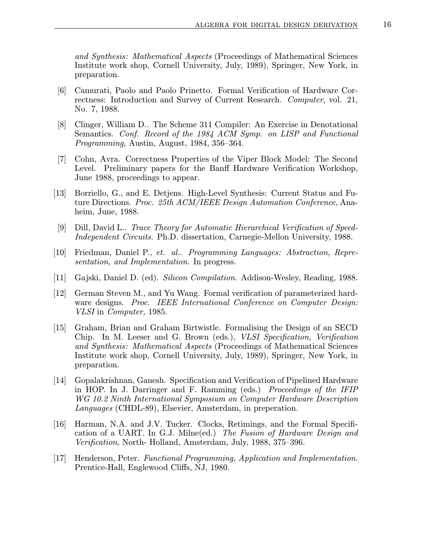and Synthesis: Mathematical Aspects (Proceedings of Mathematical Sciences Institute work shop, Cornell University, July, 1989), Springer, New York, in preparation.

- [6] Camurati, Paolo and Paolo Prinetto. Formal Verification of Hardware Correctness: Introduction and Survey of Current Research. Computer, vol. 21, No. 7, 1988.
- [8] Clinger, William D.. The Scheme 311 Compiler: An Exercise in Denotational Semantics. Conf. Record of the 1984 ACM Symp. on LISP and Functional Programming, Austin, August, 1984, 356–364.
- [7] Cohn, Avra. Correctness Properties of the Viper Block Model: The Second Level. Preliminary papers for the Banff Hardware Verification Workshop, June 1988, proceedings to appear.
- [13] Borriello, G., and E. Detjens. High-Level Synthesis: Current Status and Future Directions. Proc. 25th ACM/IEEE Design Automation Conference, Anaheim, June, 1988.
- [9] Dill, David L.. Trace Theory for Automatic Hierarchical Verification of Speed-Independent Circuits. Ph.D. dissertation, Carnegie-Mellon University, 1988.
- [10] Friedman, Daniel P., et. al.. Programming Languages: Abstraction, Representation, and Implementation. In progress.
- [11] Gajski, Daniel D. (ed). Silicon Compilation. Addison-Wesley, Reading, 1988.
- [12] German Steven M., and Yu Wang. Formal verification of parameterized hardware designs. Proc. IEEE International Conference on Computer Design: VLSI in Computer, 1985.
- [15] Graham, Brian and Graham Birtwistle. Formalising the Design of an SECD Chip. In M. Leeser and G. Brown (eds.), VLSI Specification, Verification and Synthesis: Mathematical Aspects (Proceedings of Mathematical Sciences Institute work shop, Cornell University, July, 1989), Springer, New York, in preparation.
- [14] Gopalakrishnan, Ganesh. Specification and Verification of Pipelined Hardware in HOP. In J. Darringer and F. Ramming (eds.) Proceedings of the IFIP WG 10.2 Ninth International Symposium on Computer Hardware Description Languages (CHDL-89), Elsevier, Amsterdam, in preperation.
- [16] Harman, N.A. and J.V. Tucker. Clocks, Retimings, and the Formal Specification of a UART. In G.J. Milne(ed.) The Fusion of Hardware Design and Verification, North- Holland, Amsterdam, July, 1988, 375–396.
- [17] Henderson, Peter. Functional Programming, Application and Implementation. Prentice-Hall, Englewood Cliffs, NJ, 1980.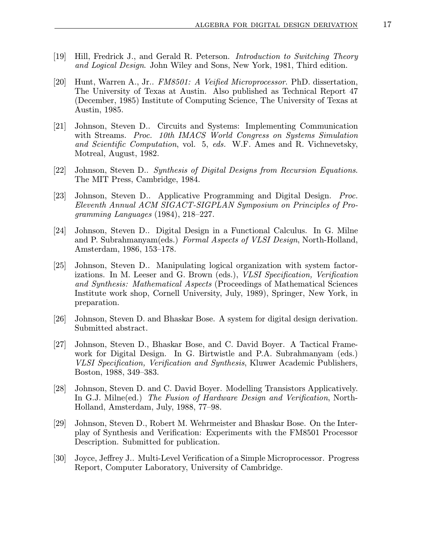- [19] Hill, Fredrick J., and Gerald R. Peterson. Introduction to Switching Theory and Logical Design. John Wiley and Sons, New York, 1981, Third edition.
- [20] Hunt, Warren A., Jr.. FM8501: A Veified Microprocessor. PhD. dissertation, The University of Texas at Austin. Also published as Technical Report 47 (December, 1985) Institute of Computing Science, The University of Texas at Austin, 1985.
- [21] Johnson, Steven D.. Circuits and Systems: Implementing Communication with Streams. Proc. 10th IMACS World Congress on Systems Simulation and Scientific Computation, vol. 5, eds. W.F. Ames and R. Vichnevetsky, Motreal, August, 1982.
- [22] Johnson, Steven D.. Synthesis of Digital Designs from Recursion Equations. The MIT Press, Cambridge, 1984.
- [23] Johnson, Steven D.. Applicative Programming and Digital Design. Proc. Eleventh Annual ACM SIGACT-SIGPLAN Symposium on Principles of Programming Languages (1984), 218–227.
- [24] Johnson, Steven D.. Digital Design in a Functional Calculus. In G. Milne and P. Subrahmanyam(eds.) Formal Aspects of VLSI Design, North-Holland, Amsterdam, 1986, 153–178.
- [25] Johnson, Steven D.. Manipulating logical organization with system factorizations. In M. Leeser and G. Brown (eds.), VLSI Specification, Verification and Synthesis: Mathematical Aspects (Proceedings of Mathematical Sciences Institute work shop, Cornell University, July, 1989), Springer, New York, in preparation.
- [26] Johnson, Steven D. and Bhaskar Bose. A system for digital design derivation. Submitted abstract.
- [27] Johnson, Steven D., Bhaskar Bose, and C. David Boyer. A Tactical Framework for Digital Design. In G. Birtwistle and P.A. Subrahmanyam (eds.) VLSI Specification, Verification and Synthesis, Kluwer Academic Publishers, Boston, 1988, 349–383.
- [28] Johnson, Steven D. and C. David Boyer. Modelling Transistors Applicatively. In G.J. Milne(ed.) The Fusion of Hardware Design and Verification, North-Holland, Amsterdam, July, 1988, 77–98.
- [29] Johnson, Steven D., Robert M. Wehrmeister and Bhaskar Bose. On the Interplay of Synthesis and Verification: Experiments with the FM8501 Processor Description. Submitted for publication.
- [30] Joyce, Jeffrey J.. Multi-Level Verification of a Simple Microprocessor. Progress Report, Computer Laboratory, University of Cambridge.